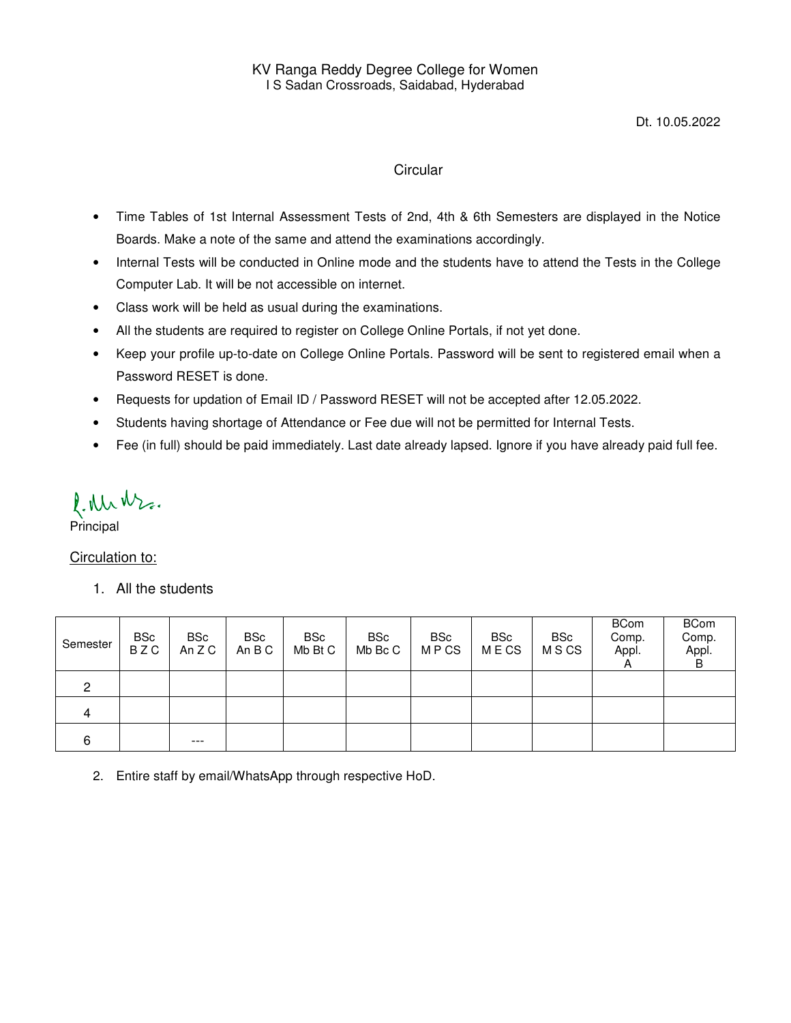#### **Circular**

- Time Tables of 1st Internal Assessment Tests of 2nd, 4th & 6th Semesters are displayed in the Notice Boards. Make a note of the same and attend the examinations accordingly.
- Internal Tests will be conducted in Online mode and the students have to attend the Tests in the College Computer Lab. It will be not accessible on internet.
- Class work will be held as usual during the examinations.
- All the students are required to register on College Online Portals, if not yet done.
- Keep your profile up-to-date on College Online Portals. Password will be sent to registered email when a Password RESET is done.
- Requests for updation of Email ID / Password RESET will not be accepted after 12.05.2022.
- Students having shortage of Attendance or Fee due will not be permitted for Internal Tests.
- Fee (in full) should be paid immediately. Last date already lapsed. Ignore if you have already paid full fee.

l. Nr Nr.

Principal

Circulation to:

1. All the students

| Semester | <b>BSc</b><br><b>BZC</b> | <b>BSc</b><br>An Z C | <b>BSc</b><br>An B C | BSc<br>Mb Bt C | <b>BSc</b><br>Mb Bc C | <b>BSc</b><br><b>MPCS</b> | <b>BSc</b><br>M E CS | <b>BSc</b><br><b>MSCS</b> | <b>BCom</b><br>Comp.<br>Appl. | <b>BCom</b><br>Comp.<br>Appl.<br>B |
|----------|--------------------------|----------------------|----------------------|----------------|-----------------------|---------------------------|----------------------|---------------------------|-------------------------------|------------------------------------|
| 2        |                          |                      |                      |                |                       |                           |                      |                           |                               |                                    |
| 4        |                          |                      |                      |                |                       |                           |                      |                           |                               |                                    |
| 6        |                          | $---$                |                      |                |                       |                           |                      |                           |                               |                                    |

2. Entire staff by email/WhatsApp through respective HoD.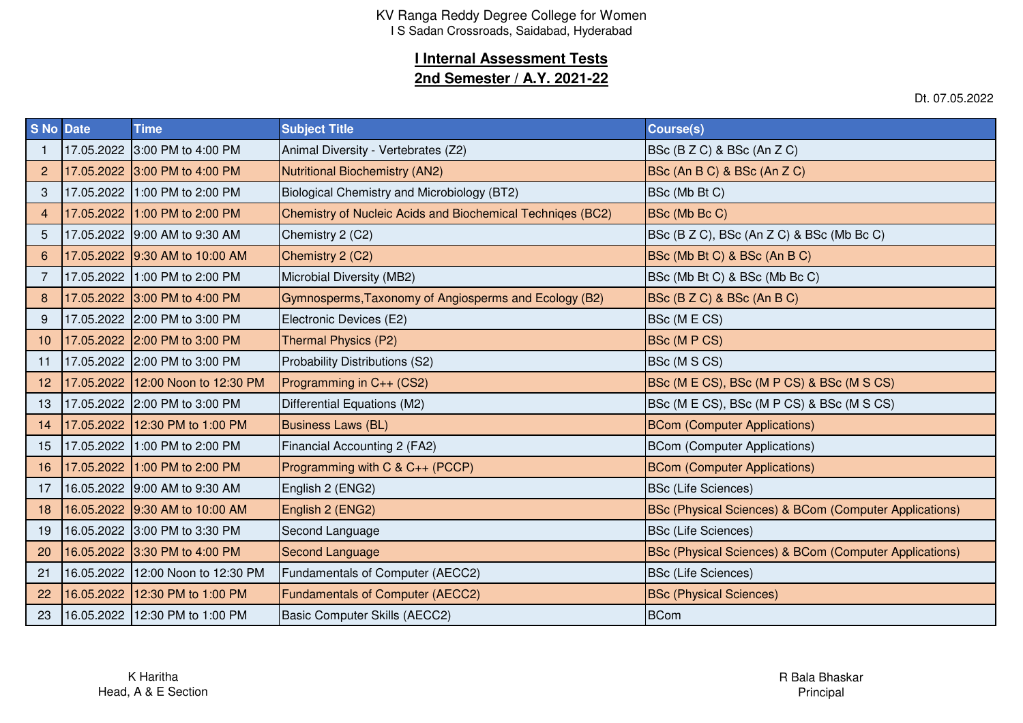### **I Internal Assessment Tests**

### **2nd Semester / A.Y. 2021-22**

Dt. 07.05.2022

| <b>S No Date</b> | <b>Time</b>                       | <b>Subject Title</b>                                       | Course(s)                                              |
|------------------|-----------------------------------|------------------------------------------------------------|--------------------------------------------------------|
|                  | 17.05.2022 3:00 PM to 4:00 PM     | Animal Diversity - Vertebrates (Z2)                        | BSc (B Z C) & BSc (An Z C)                             |
| 2                | 17.05.2022 3:00 PM to 4:00 PM     | <b>Nutritional Biochemistry (AN2)</b>                      | BSc (An B C) & BSc (An Z C)                            |
| 3                | 17.05.2022 1:00 PM to 2:00 PM     | Biological Chemistry and Microbiology (BT2)                | BSc (Mb Bt C)                                          |
| 4                | 17.05.2022 1:00 PM to 2:00 PM     | Chemistry of Nucleic Acids and Biochemical Techniges (BC2) | BSc (Mb Bc C)                                          |
| 5                | 17.05.2022 9:00 AM to 9:30 AM     | Chemistry 2 (C2)                                           | BSc (B Z C), BSc (An Z C) & BSc (Mb Bc C)              |
| 6                | 17.05.2022 9:30 AM to 10:00 AM    | Chemistry 2 (C2)                                           | BSc (Mb Bt C) & BSc (An B C)                           |
| $\overline{7}$   | 17.05.2022 1:00 PM to 2:00 PM     | Microbial Diversity (MB2)                                  | BSc (Mb Bt C) & BSc (Mb Bc C)                          |
| 8                | 17.05.2022 3:00 PM to 4:00 PM     | Gymnosperms, Taxonomy of Angiosperms and Ecology (B2)      | BSc (B Z C) & BSc (An B C)                             |
| 9                | 17.05.2022 2:00 PM to 3:00 PM     | Electronic Devices (E2)                                    | BSc (M E CS)                                           |
| 10               | 17.05.2022 2:00 PM to 3:00 PM     | Thermal Physics (P2)                                       | <b>BSc (M P CS)</b>                                    |
| 11               | 17.05.2022 2:00 PM to 3:00 PM     | Probability Distributions (S2)                             | BSc (M S CS)                                           |
| 12               | 17.05.2022 12:00 Noon to 12:30 PM | Programming in $C_{++}$ (CS2)                              | BSc (M E CS), BSc (M P CS) & BSc (M S CS)              |
| 13               | 17.05.2022 2:00 PM to 3:00 PM     | Differential Equations (M2)                                | BSc (M E CS), BSc (M P CS) & BSc (M S CS)              |
| 14               | 17.05.2022 12:30 PM to 1:00 PM    | <b>Business Laws (BL)</b>                                  | <b>BCom (Computer Applications)</b>                    |
| 15               | 17.05.2022 1:00 PM to 2:00 PM     | Financial Accounting 2 (FA2)                               | <b>BCom (Computer Applications)</b>                    |
| 16               | 17.05.2022 1:00 PM to 2:00 PM     | Programming with C & C++ (PCCP)                            | <b>BCom (Computer Applications)</b>                    |
| 17               | 16.05.2022 9:00 AM to 9:30 AM     | English 2 (ENG2)                                           | <b>BSc (Life Sciences)</b>                             |
| 18               | 16.05.2022 9:30 AM to 10:00 AM    | English 2 (ENG2)                                           | BSc (Physical Sciences) & BCom (Computer Applications) |
| 19               | 16.05.2022 3:00 PM to 3:30 PM     | Second Language                                            | <b>BSc (Life Sciences)</b>                             |
| 20               | 16.05.2022 3:30 PM to 4:00 PM     | <b>Second Language</b>                                     | BSc (Physical Sciences) & BCom (Computer Applications) |
| 21               | 16.05.2022 12:00 Noon to 12:30 PM | Fundamentals of Computer (AECC2)                           | <b>BSc (Life Sciences)</b>                             |
| 22               | 16.05.2022 12:30 PM to 1:00 PM    | <b>Fundamentals of Computer (AECC2)</b>                    | <b>BSc (Physical Sciences)</b>                         |
| 23               | 16.05.2022 12:30 PM to 1:00 PM    | Basic Computer Skills (AECC2)                              | <b>BCom</b>                                            |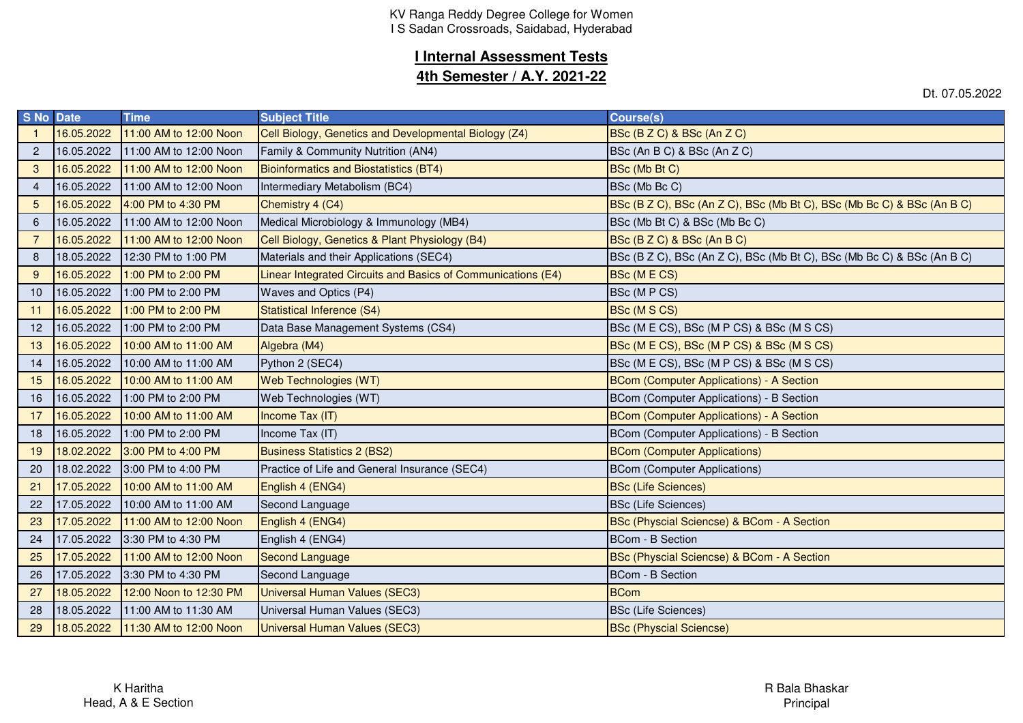# **I Internal Assessment Tests**

### **4th Semester / A.Y. 2021-22**

Dt. 07.05.2022

| S No Date      |            | <b>Time</b>            | <b>Subject Title</b>                                         | <b>Course(s)</b>                                                       |
|----------------|------------|------------------------|--------------------------------------------------------------|------------------------------------------------------------------------|
|                | 16.05.2022 | 11:00 AM to 12:00 Noon | Cell Biology, Genetics and Developmental Biology (Z4)        | BSc (B Z C) & BSc (An Z C)                                             |
| $\overline{2}$ | 16.05.2022 | 11:00 AM to 12:00 Noon | Family & Community Nutrition (AN4)                           | BSc (An B C) & BSc (An Z C)                                            |
| 3              | 16.05.2022 | 11:00 AM to 12:00 Noon | Bioinformatics and Biostatistics (BT4)                       | BSc (Mb Bt C)                                                          |
| $\overline{4}$ | 16.05.2022 | 11:00 AM to 12:00 Noon | Intermediary Metabolism (BC4)                                | BSc (Mb Bc C)                                                          |
| 5              | 16.05.2022 | 4:00 PM to 4:30 PM     | Chemistry 4 (C4)                                             | BSc (B Z C), BSc (An Z C), BSc (Mb Bt C), BSc (Mb Bc C) & BSc (An B C) |
| 6              | 16.05.2022 | 11:00 AM to 12:00 Noon | Medical Microbiology & Immunology (MB4)                      | BSc (Mb Bt C) & BSc (Mb Bc C)                                          |
| 7              | 16.05.2022 | 11:00 AM to 12:00 Noon | Cell Biology, Genetics & Plant Physiology (B4)               | BSc (B Z C) & BSc (An B C)                                             |
| 8              | 18.05.2022 | 12:30 PM to 1:00 PM    | Materials and their Applications (SEC4)                      | BSc (B Z C), BSc (An Z C), BSc (Mb Bt C), BSc (Mb Bc C) & BSc (An B C) |
| 9              | 16.05.2022 | 1:00 PM to 2:00 PM     | Linear Integrated Circuits and Basics of Communications (E4) | <b>BSc (MECS)</b>                                                      |
| 10             | 16.05.2022 | 1:00 PM to 2:00 PM     | Waves and Optics (P4)                                        | BSc (M P CS)                                                           |
| 11             | 16.05.2022 | 1:00 PM to 2:00 PM     | Statistical Inference (S4)                                   | BSc (M S CS)                                                           |
| 12             | 16.05.2022 | 1:00 PM to 2:00 PM     | Data Base Management Systems (CS4)                           | BSc (M E CS), BSc (M P CS) & BSc (M S CS)                              |
| 13             | 16.05.2022 | 10:00 AM to 11:00 AM   | Algebra (M4)                                                 | BSc (M E CS), BSc (M P CS) & BSc (M S CS)                              |
| 14             | 16.05.2022 | 10:00 AM to 11:00 AM   | Python 2 (SEC4)                                              | BSc (M E CS), BSc (M P CS) & BSc (M S CS)                              |
| 15             | 16.05.2022 | 10:00 AM to 11:00 AM   | Web Technologies (WT)                                        | <b>BCom (Computer Applications) - A Section</b>                        |
| 16             | 16.05.2022 | 1:00 PM to 2:00 PM     | Web Technologies (WT)                                        | BCom (Computer Applications) - B Section                               |
| 17             | 16.05.2022 | 10:00 AM to 11:00 AM   | Income Tax (IT)                                              | <b>BCom (Computer Applications) - A Section</b>                        |
| 18             | 16.05.2022 | 1:00 PM to 2:00 PM     | Income Tax (IT)                                              | BCom (Computer Applications) - B Section                               |
| 19             | 18.02.2022 | 3:00 PM to 4:00 PM     | <b>Business Statistics 2 (BS2)</b>                           | <b>BCom (Computer Applications)</b>                                    |
| 20             | 18.02.2022 | 3:00 PM to 4:00 PM     | Practice of Life and General Insurance (SEC4)                | <b>BCom (Computer Applications)</b>                                    |
| 21             | 17.05.2022 | 10:00 AM to 11:00 AM   | English 4 (ENG4)                                             | <b>BSc (Life Sciences)</b>                                             |
| 22             | 17.05.2022 | 10:00 AM to 11:00 AM   | Second Language                                              | <b>BSc (Life Sciences)</b>                                             |
| 23             | 17.05.2022 | 11:00 AM to 12:00 Noon | English 4 (ENG4)                                             | BSc (Physcial Sciencse) & BCom - A Section                             |
| 24             | 17.05.2022 | 3:30 PM to 4:30 PM     | English 4 (ENG4)                                             | <b>BCom - B Section</b>                                                |
| 25             | 17.05.2022 | 11:00 AM to 12:00 Noon | <b>Second Language</b>                                       | BSc (Physcial Sciencse) & BCom - A Section                             |
| 26             | 17.05.2022 | 3:30 PM to 4:30 PM     | Second Language                                              | <b>BCom - B Section</b>                                                |
| 27             | 18.05.2022 | 12:00 Noon to 12:30 PM | <b>Universal Human Values (SEC3)</b>                         | <b>BCom</b>                                                            |
| 28             | 18.05.2022 | 11:00 AM to 11:30 AM   | Universal Human Values (SEC3)                                | <b>BSc (Life Sciences)</b>                                             |
| 29             | 18.05.2022 | 11:30 AM to 12:00 Noon | <b>Universal Human Values (SEC3)</b>                         | <b>BSc (Physcial Sciencse)</b>                                         |